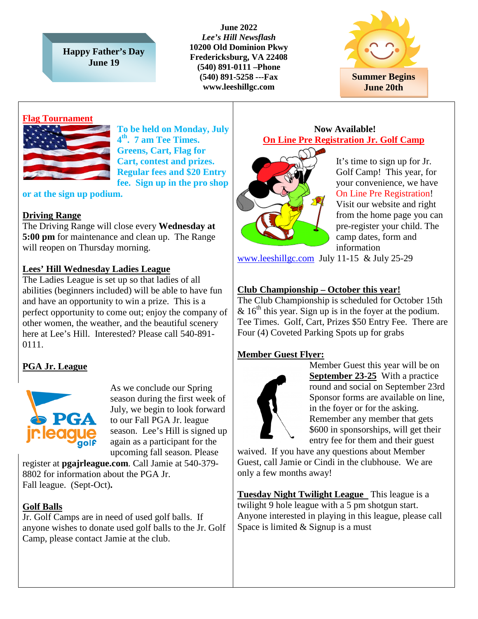**Happy Father's Day June 19**

**June 2022** *Lee's Hill Newsflash* **10200 Old Dominion Pkwy Fredericksburg, VA 22408 (540) 891-0111 –Phone (540) 891-5258 ---Fax www.leeshillgc.com**



#### **Flag Tournament**



**To be held on Monday, July 4th. 7 am Tee Times. Greens, Cart, Flag for Cart, contest and prizes. Regular fees and \$20 Entry fee. Sign up in the pro shop** 

**or at the sign up podium.** 

### **Driving Range**

The Driving Range will close every **Wednesday at 5:00 pm** for maintenance and clean up. The Range will reopen on Thursday morning.

#### **Lees' Hill Wednesday Ladies League**

The Ladies League is set up so that ladies of all abilities (beginners included) will be able to have fun and have an opportunity to win a prize. This is a perfect opportunity to come out; enjoy the company of other women, the weather, and the beautiful scenery here at Lee's Hill. Interested? Please call 540-891- 0111.

# **PGA Jr. League**



As we conclude our Spring season during the first week of July, we begin to look forward to our Fall PGA Jr. league season. Lee's Hill is signed up again as a participant for the upcoming fall season. Please

register at **pgajrleague.com**. Call Jamie at 540-379- 8802 for information about the PGA Jr. Fall league. (Sept-Oct)**.**

### **Golf Balls**

Jr. Golf Camps are in need of used golf balls. If anyone wishes to donate used golf balls to the Jr. Golf Camp, please contact Jamie at the club.

#### **Now Available! On Line Pre Registration Jr. Golf Camp**



It's time to sign up for Jr. Golf Camp! This year, for your convenience, we have On Line Pre Registration! Visit our website and right from the home page you can pre-register your child. The camp dates, form and information

[www.leeshillgc.com](http://www.leeshillgc.com/) July 11-15 & July 25-29

### **Club Championship – October this year!**

The Club Championship is scheduled for October 15th &  $16<sup>th</sup>$  this year. Sign up is in the foyer at the podium. Tee Times. Golf, Cart, Prizes \$50 Entry Fee. There are Four (4) Coveted Parking Spots up for grabs

### **Member Guest Flyer:**



Member Guest this year will be on **September 23-25** With a practice round and social on September 23rd Sponsor forms are available on line, in the foyer or for the asking. Remember any member that gets \$600 in sponsorships, will get their entry fee for them and their guest

waived. If you have any questions about Member Guest, call Jamie or Cindi in the clubhouse. We are only a few months away!

**Tuesday Night Twilight League** This league is a twilight 9 hole league with a 5 pm shotgun start. Anyone interested in playing in this league, please call Space is limited & Signup is a must